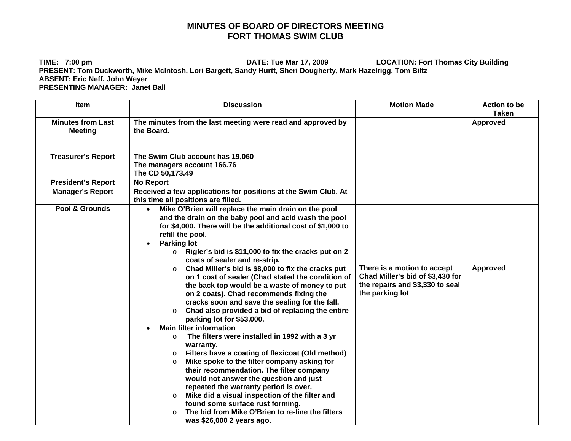## **MINUTES OF BOARD OF DIRECTORS MEETING FORT THOMAS SWIM CLUB**

**TIME: 7:00 pm DATE: Tue Mar 17, 2009 LOCATION: Fort Thomas City Building PRESENT: Tom Duckworth, Mike McIntosh, Lori Bargett, Sandy Hurtt, Sheri Dougherty, Mark Hazelrigg, Tom Biltz ABSENT: Eric Neff, John Weyer PRESENTING MANAGER: Janet Ball** 

| <b>Item</b>                                | <b>Discussion</b>                                                                                                                                                                                                                                                                                                                                                                                                                                                                                                                                                                                                                                                                                                                                                                                                                                                                                                                                                                                                                                                                                                                                                                                                                                           | <b>Motion Made</b>                                                                                                    | <b>Action to be</b><br><b>Taken</b> |
|--------------------------------------------|-------------------------------------------------------------------------------------------------------------------------------------------------------------------------------------------------------------------------------------------------------------------------------------------------------------------------------------------------------------------------------------------------------------------------------------------------------------------------------------------------------------------------------------------------------------------------------------------------------------------------------------------------------------------------------------------------------------------------------------------------------------------------------------------------------------------------------------------------------------------------------------------------------------------------------------------------------------------------------------------------------------------------------------------------------------------------------------------------------------------------------------------------------------------------------------------------------------------------------------------------------------|-----------------------------------------------------------------------------------------------------------------------|-------------------------------------|
| <b>Minutes from Last</b><br><b>Meeting</b> | The minutes from the last meeting were read and approved by<br>the Board.                                                                                                                                                                                                                                                                                                                                                                                                                                                                                                                                                                                                                                                                                                                                                                                                                                                                                                                                                                                                                                                                                                                                                                                   |                                                                                                                       | Approved                            |
| <b>Treasurer's Report</b>                  | The Swim Club account has 19,060<br>The managers account 166.76<br>The CD 50,173.49                                                                                                                                                                                                                                                                                                                                                                                                                                                                                                                                                                                                                                                                                                                                                                                                                                                                                                                                                                                                                                                                                                                                                                         |                                                                                                                       |                                     |
| <b>President's Report</b>                  | <b>No Report</b>                                                                                                                                                                                                                                                                                                                                                                                                                                                                                                                                                                                                                                                                                                                                                                                                                                                                                                                                                                                                                                                                                                                                                                                                                                            |                                                                                                                       |                                     |
| <b>Manager's Report</b>                    | Received a few applications for positions at the Swim Club. At<br>this time all positions are filled.                                                                                                                                                                                                                                                                                                                                                                                                                                                                                                                                                                                                                                                                                                                                                                                                                                                                                                                                                                                                                                                                                                                                                       |                                                                                                                       |                                     |
| Pool & Grounds                             | Mike O'Brien will replace the main drain on the pool<br>and the drain on the baby pool and acid wash the pool<br>for \$4,000. There will be the additional cost of \$1,000 to<br>refill the pool.<br><b>Parking lot</b><br>Rigler's bid is \$11,000 to fix the cracks put on 2<br>$\circ$<br>coats of sealer and re-strip.<br>Chad Miller's bid is \$8,000 to fix the cracks put<br>$\circ$<br>on 1 coat of sealer (Chad stated the condition of<br>the back top would be a waste of money to put<br>on 2 coats). Chad recommends fixing the<br>cracks soon and save the sealing for the fall.<br>Chad also provided a bid of replacing the entire<br>$\circ$<br>parking lot for \$53,000.<br><b>Main filter information</b><br>The filters were installed in 1992 with a 3 yr<br>$\circ$<br>warranty.<br>Filters have a coating of flexicoat (Old method)<br>$\circ$<br>Mike spoke to the filter company asking for<br>$\circ$<br>their recommendation. The filter company<br>would not answer the question and just<br>repeated the warranty period is over.<br>Mike did a visual inspection of the filter and<br>$\circ$<br>found some surface rust forming.<br>The bid from Mike O'Brien to re-line the filters<br>$\circ$<br>was \$26,000 2 years ago. | There is a motion to accept<br>Chad Miller's bid of \$3,430 for<br>the repairs and \$3,330 to seal<br>the parking lot | <b>Approved</b>                     |